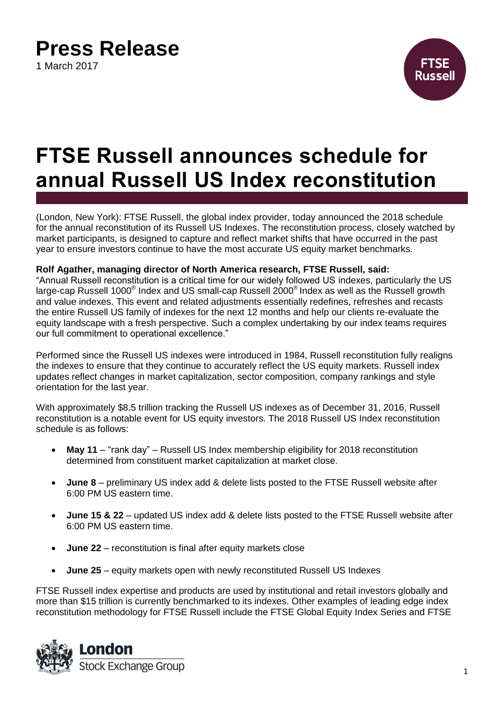## **Press Release**

1 March 2017



# **FTSE Russell announces schedule for annual Russell US Index reconstitution**

(London, New York): FTSE Russell, the global index provider, today announced the 2018 schedule for the annual reconstitution of its Russell US Indexes. The reconstitution process, closely watched by market participants, is designed to capture and reflect market shifts that have occurred in the past year to ensure investors continue to have the most accurate US equity market benchmarks.

#### **Rolf Agather, managing director of North America research, FTSE Russell, said:**

"Annual Russell reconstitution is a critical time for our widely followed US indexes, particularly the US large-cap Russell 1000 $^{\circ}$  Index and US small-cap Russell 2000 $^{\circ}$  Index as well as the Russell growth and value indexes. This event and related adjustments essentially redefines, refreshes and recasts the entire Russell US family of indexes for the next 12 months and help our clients re-evaluate the equity landscape with a fresh perspective. Such a complex undertaking by our index teams requires our full commitment to operational excellence."

Performed since the Russell US indexes were introduced in 1984, Russell reconstitution fully realigns the indexes to ensure that they continue to accurately reflect the US equity markets. Russell index updates reflect changes in market capitalization, sector composition, company rankings and style orientation for the last year.

With approximately \$8.5 trillion tracking the Russell US indexes as of December 31, 2016, Russell reconstitution is a notable event for US equity investors. The 2018 Russell US Index reconstitution schedule is as follows:

- **May 11** "rank day" Russell US Index membership eligibility for 2018 reconstitution determined from constituent market capitalization at market close.
- **June 8** preliminary US index add & delete lists posted to the FTSE Russell website after 6:00 PM US eastern time.
- **June 15 & 22** updated US index add & delete lists posted to the FTSE Russell website after 6:00 PM US eastern time.
- **June 22** reconstitution is final after equity markets close
- **June 25** equity markets open with newly reconstituted Russell US Indexes

FTSE Russell index expertise and products are used by institutional and retail investors globally and more than \$15 trillion is currently benchmarked to its indexes. Other examples of leading edge index reconstitution methodology for FTSE Russell include the FTSE Global Equity Index Series and FTSE

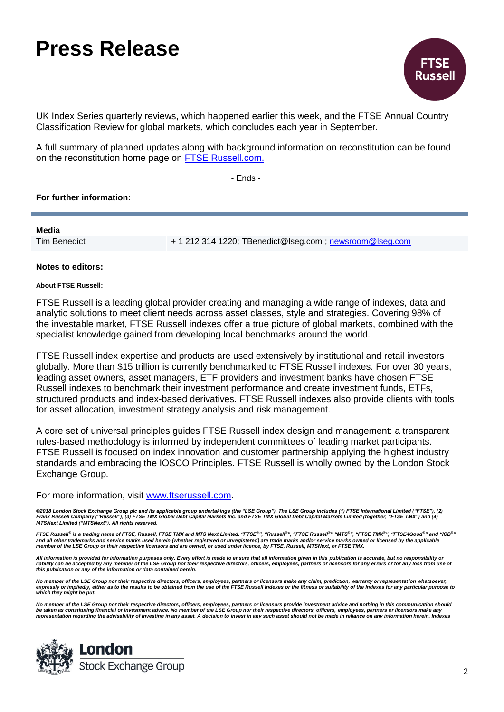## **Press Release**



UK Index Series quarterly reviews, which happened earlier this week, and the FTSE Annual Country Classification Review for global markets, which concludes each year in September.

A full summary of planned updates along with background information on reconstitution can be found on the reconstitution home page on [FTSE Russell.com.](http://www.ftserussell.com/research-insights/russell-reconstitution)

- Ends -

#### **For further information:**

**Media**

Tim Benedict + 1 212 314 1220; TBenedict@lseg.com ; [newsroom@lseg.com](mailto:newsroom@lseg.com)

**Notes to editors:**

#### **About FTSE Russell:**

FTSE Russell is a leading global provider creating and managing a wide range of indexes, data and analytic solutions to meet client needs across asset classes, style and strategies. Covering 98% of the investable market, FTSE Russell indexes offer a true picture of global markets, combined with the specialist knowledge gained from developing local benchmarks around the world.

FTSE Russell index expertise and products are used extensively by institutional and retail investors globally. More than \$15 trillion is currently benchmarked to FTSE Russell indexes. For over 30 years, leading asset owners, asset managers, ETF providers and investment banks have chosen FTSE Russell indexes to benchmark their investment performance and create investment funds, ETFs, structured products and index-based derivatives. FTSE Russell indexes also provide clients with tools for asset allocation, investment strategy analysis and risk management.

A core set of universal principles guides FTSE Russell index design and management: a transparent rules-based methodology is informed by independent committees of leading market participants. FTSE Russell is focused on index innovation and customer partnership applying the highest industry standards and embracing the IOSCO Principles. FTSE Russell is wholly owned by the London Stock Exchange Group.

For more information, visit [www.ftserussell.com.](http://www.ftserussell.com/)

©2018 London Stock Exchange Group plc and its applicable group undertakings (the "LSE Group"). The LSE Group includes (1) FTSE International Limited ("FTSE"), (2)<br>Frank Russell Company ("Russell"), (3) FTSE TMX Global Debt

FTSE Russell® is a trading name of FTSE, Russell, FTSE TMX and MTS Next Limited. "FTSE $^{\mathbb{P}n}$ , "Russell®", "FTSE Russell®", "MTS®", "FTSE TMX®", "FTSE4Good®" and "ICB®" and all other trademarks and service marks used herein (whether registered or unregistered) are trade marks and/or service marks owned or licensed by the applicable<br>member of the LSE Group or their respective licensors and

*All information is provided for information purposes only. Every effort is made to ensure that all information given in this publication is accurate, but no responsibility or*  liability can be accepted by any member of the LSE Group nor their respective directors, officers, employees, partners or licensors for any errors or for any loss from use of<br>this publication or any of the information or d

No member of the LSE Group nor their respective directors, officers, employees, partners or licensors make any claim, prediction, warranty or representation whatsoever,<br>expressly or impliedly, either as to the results to b *which they might be put.* 

No member of the LSE Group nor their respective directors, officers, employees, partners or licensors provide investment advice and nothing in this communication should<br>be taken as constituting financial or investment advi *representation regarding the advisability of investing in any asset. A decision to invest in any such asset should not be made in reliance on any information herein. Indexes*